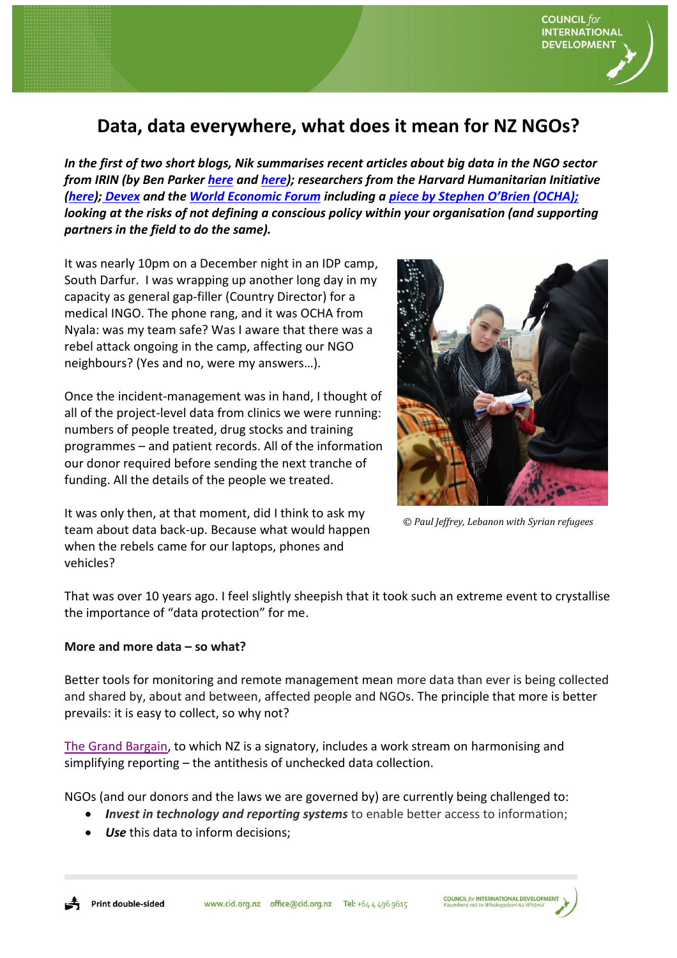

## **Data, data everywhere, what does it mean for NZ NGOs?**

*In the first of two short blogs, Nik summarises recent articles about big data in the NGO sector from IRIN (by Ben Parker [here](https://www.irinnews.org/analysis/2018/01/18/aid-agencies-rethink-personal-data-new-eu-rules-loom) and [here\)](http://www.irinnews.org/news/2018/01/18/exclusive-audit-exposes-un-food-agency-s-poor-data-handling?utm_source=IRIN+-+the+inside+story+on+emergencies&utm_campaign=ee8421aa58-RSS_EMAIL_CAMPAIGN_ENGLISH_AID_AND_POLICY&utm_medium=email&utm_term=0_d842d98289-ee8421aa58-75429925); researchers from the Harvard Humanitarian Initiative [\(here\)](http://www.irinnews.org/opinion/2017/12/08/humanitarian-data-breaches-real-scandal-our-collective-inaction?utm_source=IRIN+-+the+inside+story+on+emergencies&utm_campaign=dc32dfbce2-RSS_EMAIL_ENGLISH_ALL&utm_medium=email&utm_term=0_d842d98289-dc32dfbce2-75429925); [Devex](https://www.devex.com/news/opinion-humanitarian-world-is-full-of-data-myths-here-are-the-most-popular-91959?utm_content=buffer08129&utm_medium=social&utm_source=twitter.com&utm_campaign=buffer) and the [World Economic Forum](https://www.weforum.org/agenda/2018/01/3-ways-big-data-is-changing-the-humanitarian-sector) including a [piece by Stephen O'Brien \(OCHA\)](https://www.weforum.org/agenda/2017/01/this-is-how-we-build-a-stronger-data-driver-humanitarian%20sector); looking at the risks of not defining a conscious policy within your organisation (and supporting partners in the field to do the same).*

It was nearly 10pm on a December night in an IDP camp, South Darfur. I was wrapping up another long day in my capacity as general gap-filler (Country Director) for a medical INGO. The phone rang, and it was OCHA from Nyala: was my team safe? Was I aware that there was a rebel attack ongoing in the camp, affecting our NGO neighbours? (Yes and no, were my answers…).

Once the incident-management was in hand, I thought of all of the project-level data from clinics we were running: numbers of people treated, drug stocks and training programmes – and patient records. All of the information our donor required before sending the next tranche of funding. All the details of the people we treated.



*© Paul Jeffrey, Lebanon with Syrian refugees*

It was only then, at that moment, did I think to ask my team about data back-up. Because what would happen when the rebels came for our laptops, phones and vehicles?

That was over 10 years ago. I feel slightly sheepish that it took such an extreme event to crystallise the importance of "data protection" for me.

## **More and more data – so what?**

Better tools for monitoring and remote management mean more data than ever is being collected and shared by, about and between, affected people and NGOs. The principle that more is better prevails: it is easy to collect, so why not?

[The Grand Bargain,](https://interagencystandingcommittee.org/grand-bargain-hosted-iasc) to which NZ is a signatory, includes a work stream on harmonising and simplifying reporting – the antithesis of unchecked data collection.

NGOs (and our donors and the laws we are governed by) are currently being challenged to:

- *Invest in technology and reporting systems* to enable better access to information;
- *Use* this data to inform decisions;

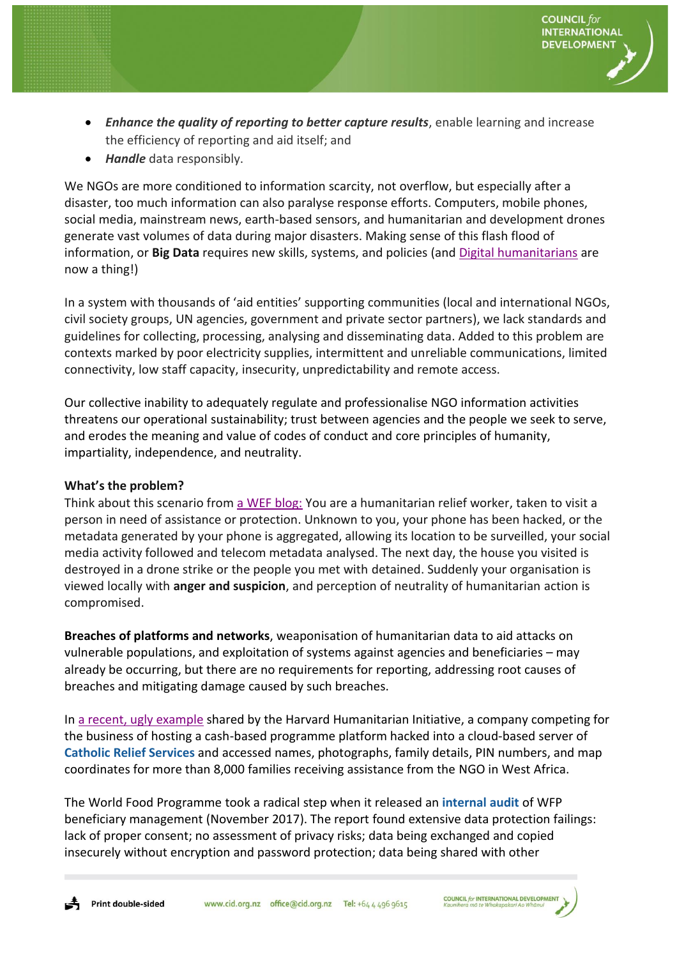*Enhance the quality of reporting to better capture results*, enable learning and increase the efficiency of reporting and aid itself; and

**COUNCIL** for **INTERNATIONAL DEVELOPMENT** 

*Handle* data responsibly.

We NGOs are more conditioned to information scarcity, not overflow, but especially after a disaster, too much information can also paralyse response efforts. Computers, mobile phones, social media, mainstream news, earth-based sensors, and humanitarian and development drones generate vast volumes of data during major disasters. Making sense of this flash flood of information, or **Big Data** requires new skills, systems, and policies (and [Digital humanitarians](http://www.digital-humanitarians.com/) are now a thing!)

In a system with thousands of 'aid entities' supporting communities (local and international NGOs, civil society groups, UN agencies, government and private sector partners), we lack standards and guidelines for collecting, processing, analysing and disseminating data. Added to this problem are contexts marked by poor electricity supplies, intermittent and unreliable communications, limited connectivity, low staff capacity, insecurity, unpredictability and remote access.

Our collective inability to adequately regulate and professionalise NGO information activities threatens our operational sustainability; trust between agencies and the people we seek to serve, and erodes the meaning and value of codes of conduct and core principles of humanity, impartiality, independence, and neutrality.

## **What's the problem?**

Think about this scenario from [a WEF blog:](https://www.weforum.org/agenda/2016/12/digitally-transforming-the-humanitarian-industry) You are a humanitarian relief worker, taken to visit a person in need of assistance or protection. Unknown to you, your phone has been hacked, or the metadata generated by your phone is aggregated, allowing its location to be surveilled, your social media activity followed and telecom metadata analysed. The next day, the house you visited is destroyed in a drone strike or the people you met with detained. Suddenly your organisation is viewed locally with **anger and suspicion**, and perception of neutrality of humanitarian action is compromised.

**Breaches of platforms and networks**, weaponisation of humanitarian data to aid attacks on vulnerable populations, and exploitation of systems against agencies and beneficiaries – may already be occurring, but there are no requirements for reporting, addressing root causes of breaches and mitigating damage caused by such breaches.

In [a recent, ugly](http://www.irinnews.org/opinion/2017/12/08/humanitarian-data-breaches-real-scandal-our-collective-inaction?utm_source=IRIN+-+the+inside+story+on+emergencies&utm_campaign=dc32dfbce2-RSS_EMAIL_ENGLISH_ALL&utm_medium=email&utm_term=0_d842d98289-dc32dfbce2-75429925) example shared by the Harvard Humanitarian Initiative, a company competing for the business of hosting a cash-based programme platform hacked into a cloud-based server of **[Catholic Relief Services](https://www.crs.org/)** and accessed names, photographs, family details, PIN numbers, and map coordinates for more than 8,000 families receiving assistance from the NGO in West Africa.

The World Food Programme took a radical step when it released an **[internal audit](https://docs.wfp.org/api/documents/WFP-0000040084/download/?_ga=2.43869413.1326768420.1516256388-1682848339.1511261484)** of WFP beneficiary management (November 2017). The report found extensive data protection failings: lack of proper consent; no assessment of privacy risks; data being exchanged and copied insecurely without encryption and password protection; data being shared with other

**COUNCIL for INTERNATIONAL DEVELOPMENT**